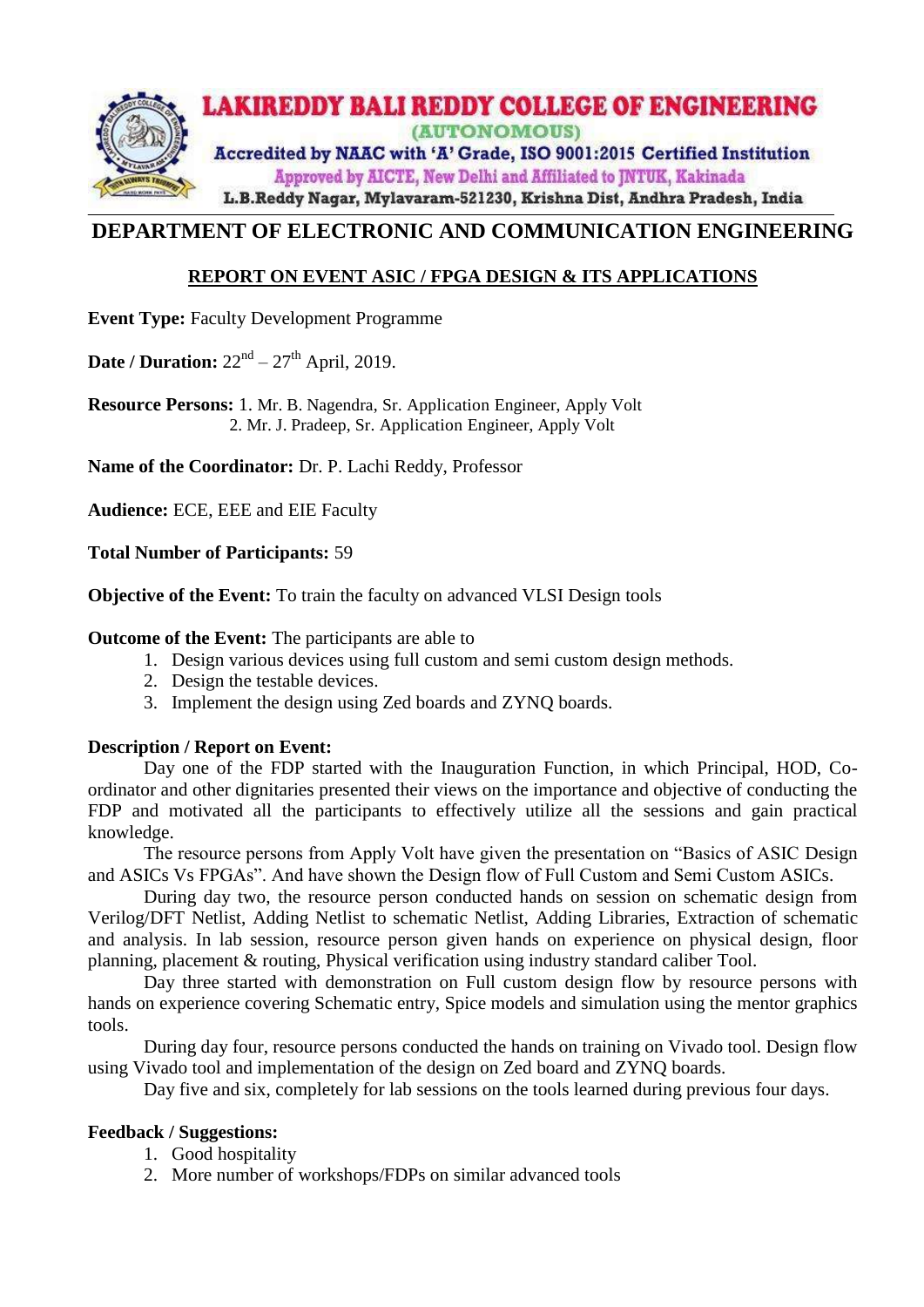

## **DEPARTMENT OF ELECTRONIC AND COMMUNICATION ENGINEERING**

## **REPORT ON EVENT ASIC / FPGA DESIGN & ITS APPLICATIONS**

**Event Type:** Faculty Development Programme

**Date / Duration:**  $22<sup>nd</sup> - 27<sup>th</sup>$  April, 2019.

**Resource Persons:** 1. Mr. B. Nagendra, Sr. Application Engineer, Apply Volt 2. Mr. J. Pradeep, Sr. Application Engineer, Apply Volt

**Name of the Coordinator:** Dr. P. Lachi Reddy, Professor

**Audience:** ECE, EEE and EIE Faculty

**Total Number of Participants:** 59

**Objective of the Event:** To train the faculty on advanced VLSI Design tools

#### **Outcome of the Event:** The participants are able to

- 1. Design various devices using full custom and semi custom design methods.
- 2. Design the testable devices.
- 3. Implement the design using Zed boards and ZYNQ boards.

#### **Description / Report on Event:**

Day one of the FDP started with the Inauguration Function, in which Principal, HOD, Coordinator and other dignitaries presented their views on the importance and objective of conducting the FDP and motivated all the participants to effectively utilize all the sessions and gain practical knowledge.

The resource persons from Apply Volt have given the presentation on "Basics of ASIC Design and ASICs Vs FPGAs". And have shown the Design flow of Full Custom and Semi Custom ASICs.

During day two, the resource person conducted hands on session on schematic design from Verilog/DFT Netlist, Adding Netlist to schematic Netlist, Adding Libraries, Extraction of schematic and analysis. In lab session, resource person given hands on experience on physical design, floor planning, placement & routing, Physical verification using industry standard caliber Tool.

Day three started with demonstration on Full custom design flow by resource persons with hands on experience covering Schematic entry, Spice models and simulation using the mentor graphics tools.

During day four, resource persons conducted the hands on training on Vivado tool. Design flow using Vivado tool and implementation of the design on Zed board and ZYNQ boards.

Day five and six, completely for lab sessions on the tools learned during previous four days.

#### **Feedback / Suggestions:**

- 1. Good hospitality
- 2. More number of workshops/FDPs on similar advanced tools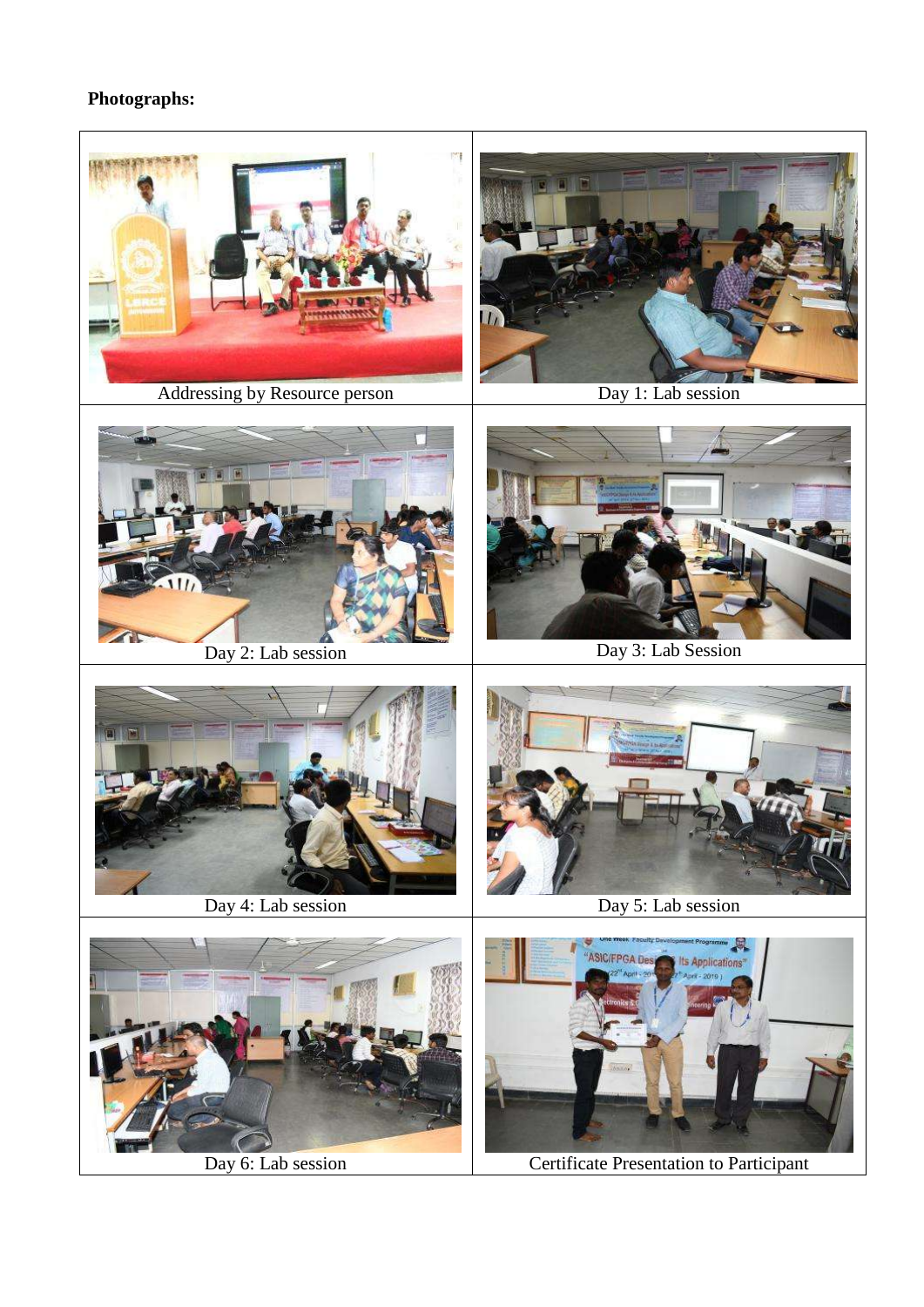# **Photographs:**